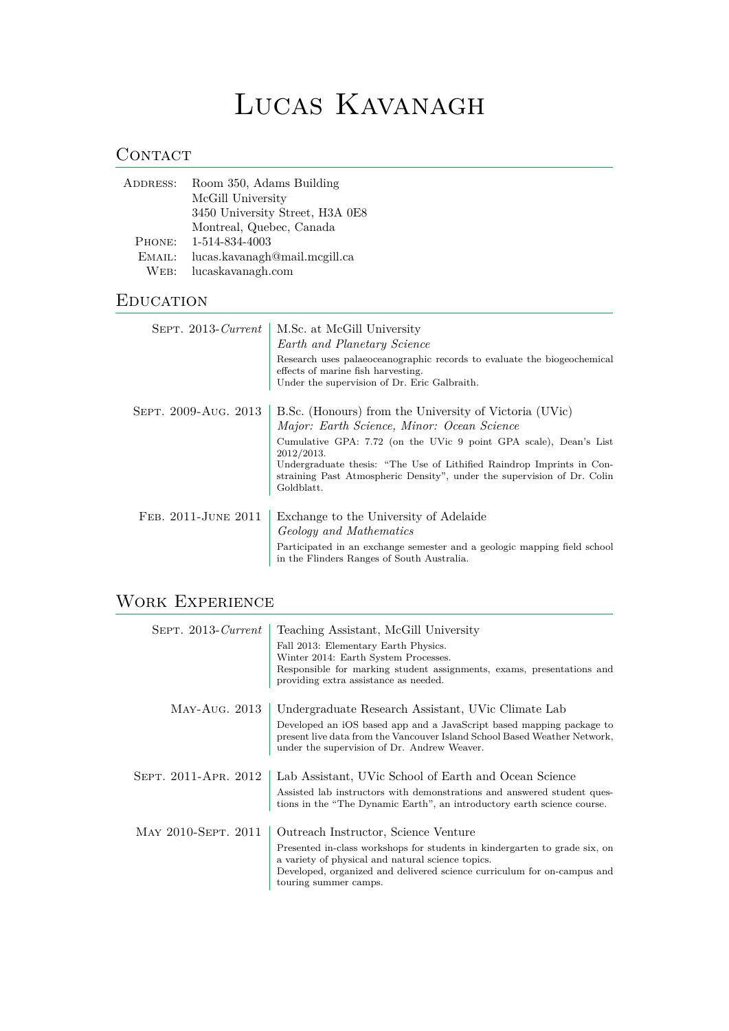# Lucas Kavanagh

## **CONTACT**

| ADDRESS: | Room 350, Adams Building        |
|----------|---------------------------------|
|          | McGill University               |
|          | 3450 University Street, H3A 0E8 |
|          | Montreal, Quebec, Canada        |
| PHONE:   | 1-514-834-4003                  |
| EMAIL:   | lucas.kavanagh@mail.mcgill.ca   |
| WEB:     | lucaskavanagh.com               |
|          |                                 |

#### **EDUCATION**

| $SEPT. 2013$ -Current | M.Sc. at McGill University<br>Earth and Planetary Science<br>Research uses palaeoceanographic records to evaluate the biogeochemical<br>effects of marine fish harvesting.<br>Under the supervision of Dr. Eric Galbraith.                                                                                                                                |
|-----------------------|-----------------------------------------------------------------------------------------------------------------------------------------------------------------------------------------------------------------------------------------------------------------------------------------------------------------------------------------------------------|
| SEPT. 2009-AUG. 2013  | B.Sc. (Honours) from the University of Victoria (UVic)<br>Major: Earth Science, Minor: Ocean Science<br>Cumulative GPA: 7.72 (on the UVic 9 point GPA scale), Dean's List<br>2012/2013.<br>Undergraduate thesis: "The Use of Lithified Raindrop Imprints in Con-<br>straining Past Atmospheric Density", under the supervision of Dr. Colin<br>Goldblatt. |
| FEB. 2011-JUNE 2011   | Exchange to the University of Adelaide<br>Geology and Mathematics<br>Participated in an exchange semester and a geologic mapping field school<br>in the Flinders Ranges of South Australia.                                                                                                                                                               |

# WORK EXPERIENCE

| $SEPT. 2013$ -Current | Teaching Assistant, McGill University                                                                                                                                                            |
|-----------------------|--------------------------------------------------------------------------------------------------------------------------------------------------------------------------------------------------|
|                       | Fall 2013: Elementary Earth Physics.                                                                                                                                                             |
|                       | Winter 2014: Earth System Processes.                                                                                                                                                             |
|                       | Responsible for marking student assignments, exams, presentations and<br>providing extra assistance as needed.                                                                                   |
| MAY-AUG. 2013         | Undergraduate Research Assistant, UVic Climate Lab                                                                                                                                               |
|                       | Developed an iOS based app and a JavaScript based mapping package to<br>present live data from the Vancouver Island School Based Weather Network,<br>under the supervision of Dr. Andrew Weaver. |
| SEPT. 2011-APR. 2012  | Lab Assistant, UVic School of Earth and Ocean Science                                                                                                                                            |
|                       | Assisted lab instructors with demonstrations and answered student ques-<br>tions in the "The Dynamic Earth", an introductory earth science course.                                               |
| MAY 2010-SEPT. 2011   | Outreach Instructor, Science Venture                                                                                                                                                             |
|                       | Presented in-class workshops for students in kindergarten to grade six, on<br>a variety of physical and natural science topics.                                                                  |
|                       | Developed, organized and delivered science curriculum for on-campus and<br>touring summer camps.                                                                                                 |